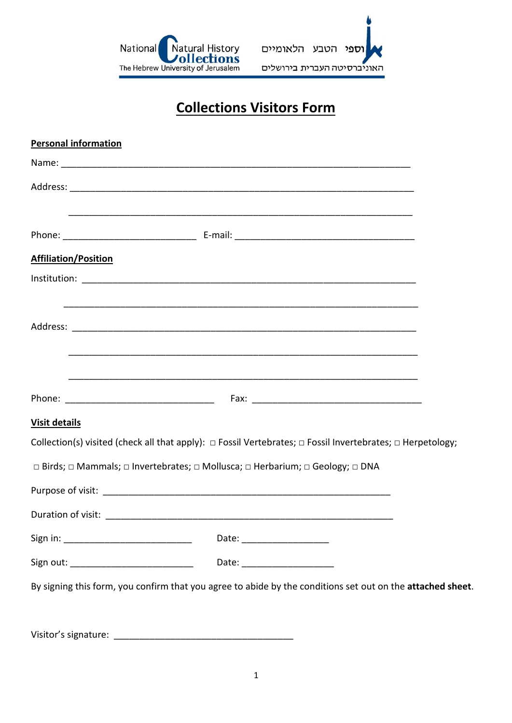



## **Collections Visitors Form**

| <b>Personal information</b>              |                                                                                                                           |  |
|------------------------------------------|---------------------------------------------------------------------------------------------------------------------------|--|
|                                          |                                                                                                                           |  |
|                                          |                                                                                                                           |  |
|                                          |                                                                                                                           |  |
|                                          |                                                                                                                           |  |
| <b>Affiliation/Position</b>              |                                                                                                                           |  |
|                                          |                                                                                                                           |  |
|                                          |                                                                                                                           |  |
|                                          |                                                                                                                           |  |
|                                          |                                                                                                                           |  |
|                                          |                                                                                                                           |  |
|                                          |                                                                                                                           |  |
| <b>Visit details</b>                     |                                                                                                                           |  |
|                                          | Collection(s) visited (check all that apply): $\Box$ Fossil Vertebrates; $\Box$ Fossil Invertebrates; $\Box$ Herpetology; |  |
|                                          | □ Birds; □ Mammals; □ Invertebrates; □ Mollusca; □ Herbarium; □ Geology; □ DNA                                            |  |
|                                          |                                                                                                                           |  |
|                                          |                                                                                                                           |  |
|                                          |                                                                                                                           |  |
| Sign out: ______________________________ | Date: _______________________                                                                                             |  |
|                                          | By signing this form, you confirm that you agree to abide by the conditions set out on the attached sheet.                |  |
|                                          |                                                                                                                           |  |
| Visitor's signature:                     |                                                                                                                           |  |